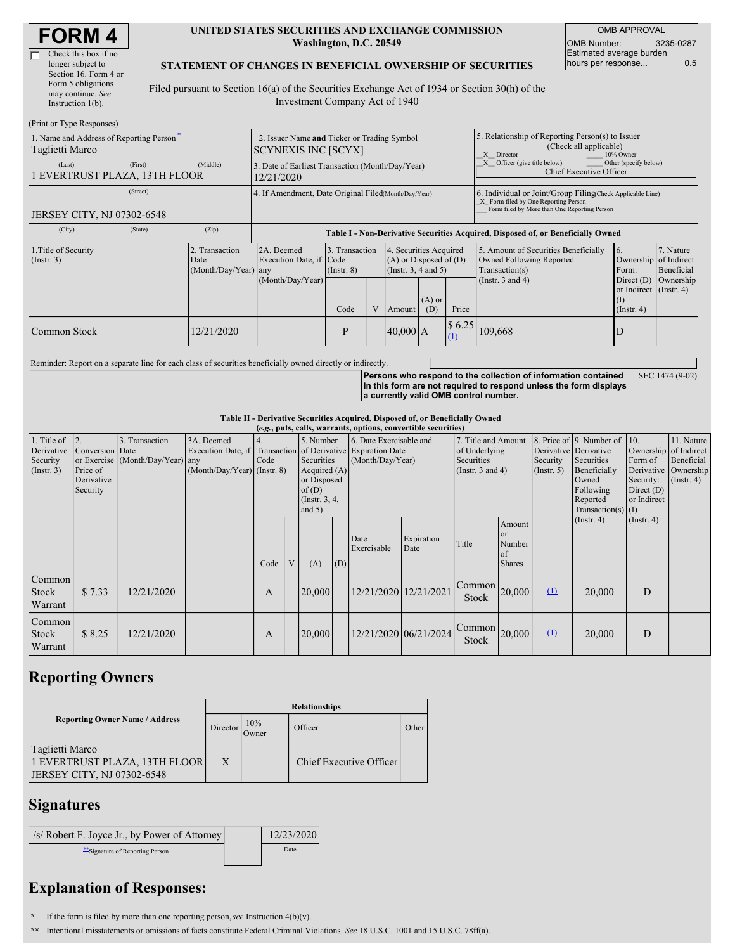| <b>FORM4</b> |  |
|--------------|--|
|--------------|--|

#### **UNITED STATES SECURITIES AND EXCHANGE COMMISSION Washington, D.C. 20549**

OMB APPROVAL OMB Number: 3235-0287 Estimated average burden hours per response... 0.5

### **STATEMENT OF CHANGES IN BENEFICIAL OWNERSHIP OF SECURITIES**

Filed pursuant to Section 16(a) of the Securities Exchange Act of 1934 or Section 30(h) of the Investment Company Act of 1940

| (Print or Type Responses)                                   |                                                                           |                                                                                                |      |                                                                                          |            |                                                                                                                                                    |                                                                                                             |                                                                                           |                                      |  |
|-------------------------------------------------------------|---------------------------------------------------------------------------|------------------------------------------------------------------------------------------------|------|------------------------------------------------------------------------------------------|------------|----------------------------------------------------------------------------------------------------------------------------------------------------|-------------------------------------------------------------------------------------------------------------|-------------------------------------------------------------------------------------------|--------------------------------------|--|
| 1. Name and Address of Reporting Person-<br>Taglietti Marco | 2. Issuer Name and Ticker or Trading Symbol<br><b>SCYNEXIS INC [SCYX]</b> |                                                                                                |      |                                                                                          |            | 5. Relationship of Reporting Person(s) to Issuer<br>(Check all applicable)<br>Director<br>10% Owner                                                |                                                                                                             |                                                                                           |                                      |  |
| (First)<br>(Last)<br>1 EVERTRUST PLAZA, 13TH FLOOR          | (Middle)                                                                  | 3. Date of Earliest Transaction (Month/Day/Year)<br>12/21/2020                                 |      |                                                                                          |            |                                                                                                                                                    | Officer (give title below)<br>Other (specify below)<br>Chief Executive Officer                              |                                                                                           |                                      |  |
| (Street)<br><b>JERSEY CITY, NJ 07302-6548</b>               | 4. If Amendment, Date Original Filed(Month/Day/Year)                      |                                                                                                |      |                                                                                          |            | 6. Individual or Joint/Group Filing(Check Applicable Line)<br>X Form filed by One Reporting Person<br>Form filed by More than One Reporting Person |                                                                                                             |                                                                                           |                                      |  |
| (State)<br>(City)                                           | (Zip)                                                                     | Table I - Non-Derivative Securities Acquired, Disposed of, or Beneficially Owned               |      |                                                                                          |            |                                                                                                                                                    |                                                                                                             |                                                                                           |                                      |  |
| 1. Title of Security<br>(Insert. 3)                         | 2. Transaction<br>Date<br>(Month/Day/Year) any                            | 3. Transaction<br>2A. Deemed<br>Execution Date, if Code<br>$($ Instr. $8)$<br>(Month/Day/Year) |      | 4. Securities Acquired<br>$(A)$ or Disposed of $(D)$<br>(Insert. 3, 4 and 5)<br>$(A)$ or |            |                                                                                                                                                    | 5. Amount of Securities Beneficially<br>Owned Following Reported<br>Transaction(s)<br>(Instr. $3$ and $4$ ) | <sup>6.</sup><br>Ownership of Indirect<br>Form:<br>Direct $(D)$<br>or Indirect (Instr. 4) | 7. Nature<br>Beneficial<br>Ownership |  |
|                                                             |                                                                           |                                                                                                | Code | V                                                                                        | Amount     | (D)                                                                                                                                                | Price                                                                                                       |                                                                                           | $($ Instr. 4 $)$                     |  |
| Common Stock                                                | 12/21/2020                                                                |                                                                                                | P    |                                                                                          | $40,000$ A |                                                                                                                                                    | \$6.25<br>$\Omega$                                                                                          | 109,668                                                                                   | D                                    |  |

Reminder: Report on a separate line for each class of securities beneficially owned directly or indirectly.

**Persons who respond to the collection of information contained in this form are not required to respond unless the form displays a currently valid OMB control number.** SEC 1474 (9-02)

**Table II - Derivative Securities Acquired, Disposed of, or Beneficially Owned**

|                                                           | (e.g., puts, calls, warrants, options, convertible securities) |                                                    |                                                                                                             |              |   |                                                                                                |     |                                             |                       |                                                                             |                                               |                         |                                                                                                                                               |                                                                              |                                                                      |
|-----------------------------------------------------------|----------------------------------------------------------------|----------------------------------------------------|-------------------------------------------------------------------------------------------------------------|--------------|---|------------------------------------------------------------------------------------------------|-----|---------------------------------------------|-----------------------|-----------------------------------------------------------------------------|-----------------------------------------------|-------------------------|-----------------------------------------------------------------------------------------------------------------------------------------------|------------------------------------------------------------------------------|----------------------------------------------------------------------|
| 1. Title of<br>Derivative<br>Security<br>$($ Instr. 3 $)$ | Conversion Date<br>Price of<br>Derivative<br>Security          | 3. Transaction<br>or Exercise (Month/Day/Year) any | 3A. Deemed<br>Execution Date, if Transaction of Derivative Expiration Date<br>$(Month/Day/Year)$ (Instr. 8) | Code         |   | 5. Number<br>Securities<br>Acquired (A)<br>or Disposed<br>of(D)<br>(Instr. $3, 4,$<br>and $5)$ |     | 6. Date Exercisable and<br>(Month/Day/Year) |                       | 7. Title and Amount<br>of Underlying<br>Securities<br>(Instr. $3$ and $4$ ) |                                               | Security<br>(Insert. 5) | 8. Price of 9. Number of 10.<br>Derivative Derivative<br>Securities<br>Beneficially<br>Owned<br>Following<br>Reported<br>Transaction(s) $(I)$ | Ownership of Indirect<br>Form of<br>Security:<br>Direct $(D)$<br>or Indirect | 11. Nature<br>Beneficial<br>Derivative Ownership<br>$($ Instr. 4 $)$ |
|                                                           |                                                                |                                                    |                                                                                                             | Code         | V | (A)                                                                                            | (D) | Date<br>Exercisable                         | Expiration<br>Date    | Title                                                                       | Amount<br>or<br>Number<br>of<br><b>Shares</b> |                         | $($ Instr. 4 $)$                                                                                                                              | $($ Instr. 4 $)$                                                             |                                                                      |
| Common<br><b>Stock</b><br>Warrant                         | \$7.33                                                         | 12/21/2020                                         |                                                                                                             | A            |   | 20,000                                                                                         |     | 12/21/2020 12/21/2021                       |                       | $\left.\sqrt{\text{Common}}\right _{20,000}$<br>Stock                       |                                               | $\Omega$                | 20,000                                                                                                                                        | D                                                                            |                                                                      |
| Common<br>Stock<br>Warrant                                | \$8.25                                                         | 12/21/2020                                         |                                                                                                             | $\mathbf{A}$ |   | 20,000                                                                                         |     |                                             | 12/21/2020 06/21/2024 | $\sqrt{ \text{Common} }$ 20,000<br>Stock                                    |                                               | $\Omega$                | 20,000                                                                                                                                        | D                                                                            |                                                                      |

## **Reporting Owners**

|                                                                                       | <b>Relationships</b> |              |                         |       |  |  |  |  |
|---------------------------------------------------------------------------------------|----------------------|--------------|-------------------------|-------|--|--|--|--|
| <b>Reporting Owner Name / Address</b><br>Director                                     |                      | 10%<br>Owner | Officer                 | Other |  |  |  |  |
| Taglietti Marco<br>1 EVERTRUST PLAZA, 13TH FLOOR<br><b>JERSEY CITY, NJ 07302-6548</b> | X                    |              | Chief Executive Officer |       |  |  |  |  |

### **Signatures**

/s/ Robert F. Joyce Jr., by Power of Attorney 12/23/2020 \*\*Signature of Reporting Person Date

# **Explanation of Responses:**

**\*** If the form is filed by more than one reporting person,*see* Instruction 4(b)(v).

**\*\*** Intentional misstatements or omissions of facts constitute Federal Criminal Violations. *See* 18 U.S.C. 1001 and 15 U.S.C. 78ff(a).